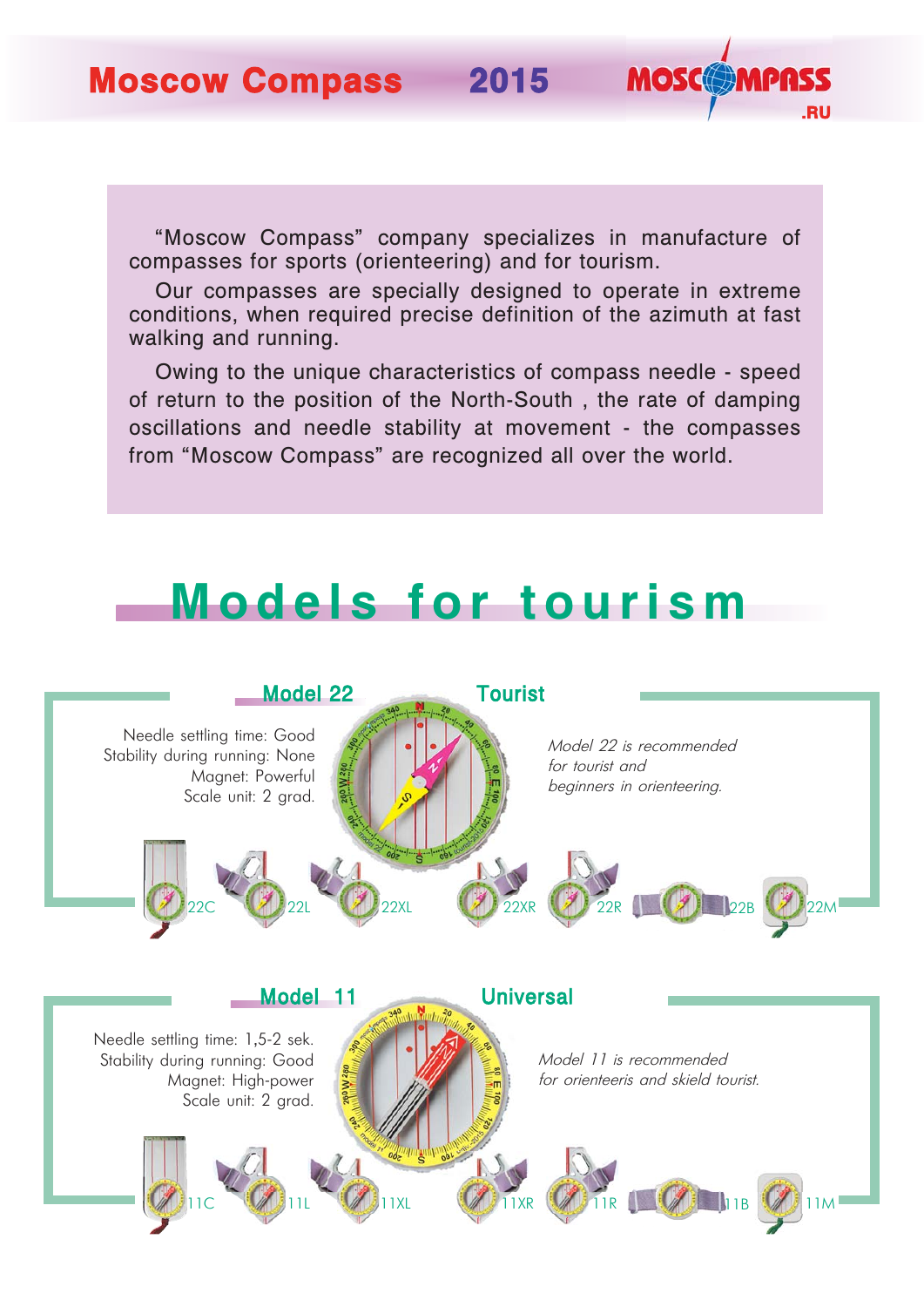**Moscow Compass 2015**

"Moscow Compass" company specializes in manufacture of compasses for sports (orienteering) and for tourism.

**.RU**

**MOSCOMPA** 

Our compasses are specially designed to operate in extreme conditions, when required precise definition of the azimuth at fast walking and running.

Owing to the unique characteristics of compass needle - speed of return to the position of the North-South , the rate of damping oscillations and needle stability at movement - the compasses from "Moscow Compass" are recognized all over the world.

## **Models for tourism**